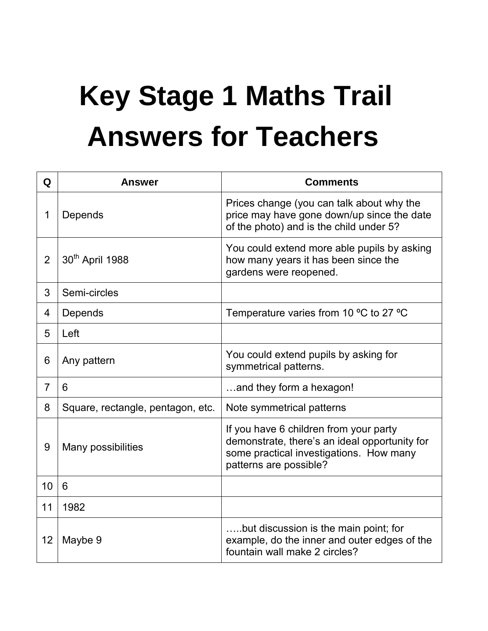## **Key Stage 1 Maths Trail Answers for Teachers**

| Q              | <b>Answer</b>                     | <b>Comments</b>                                                                                                                                              |
|----------------|-----------------------------------|--------------------------------------------------------------------------------------------------------------------------------------------------------------|
| 1              | Depends                           | Prices change (you can talk about why the<br>price may have gone down/up since the date<br>of the photo) and is the child under 5?                           |
| $\overline{2}$ | 30 <sup>th</sup> April 1988       | You could extend more able pupils by asking<br>how many years it has been since the<br>gardens were reopened.                                                |
| 3              | Semi-circles                      |                                                                                                                                                              |
| 4              | Depends                           | Temperature varies from 10 $\mathrm{°C}$ to 27 $\mathrm{°C}$                                                                                                 |
| 5              | Left                              |                                                                                                                                                              |
| 6              | Any pattern                       | You could extend pupils by asking for<br>symmetrical patterns.                                                                                               |
| 7              | 6                                 | and they form a hexagon!                                                                                                                                     |
| 8              | Square, rectangle, pentagon, etc. | Note symmetrical patterns                                                                                                                                    |
| 9              | Many possibilities                | If you have 6 children from your party<br>demonstrate, there's an ideal opportunity for<br>some practical investigations. How many<br>patterns are possible? |
| 10             | 6                                 |                                                                                                                                                              |
| 11             | 1982                              |                                                                                                                                                              |
| 12             | Maybe 9                           | but discussion is the main point; for<br>example, do the inner and outer edges of the<br>fountain wall make 2 circles?                                       |